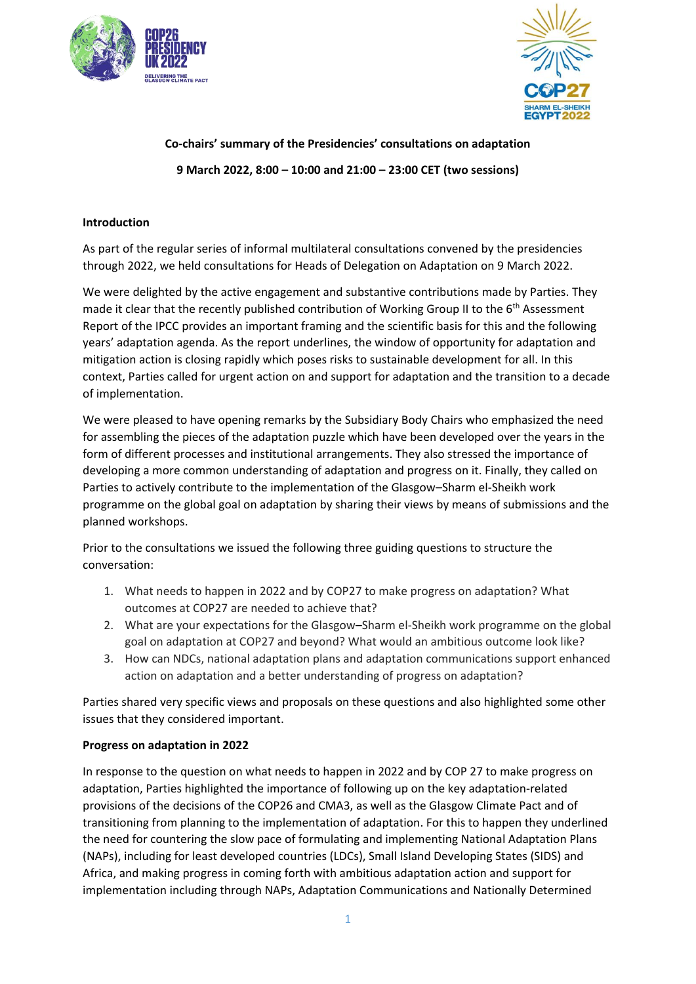



# **Co-chairs' summary of the Presidencies' consultations on adaptation 9 March 2022, 8:00 – 10:00 and 21:00 – 23:00 CET (two sessions)**

### **Introduction**

As part of the regular series of informal multilateral consultations convened by the presidencies through 2022, we held consultations for Heads of Delegation on Adaptation on 9 March 2022.

We were delighted by the active engagement and substantive contributions made by Parties. They made it clear that the recently published contribution of Working Group II to the  $6<sup>th</sup>$  Assessment Report of the IPCC provides an important framing and the scientific basis for this and the following years' adaptation agenda. As the report underlines, the window of opportunity for adaptation and mitigation action is closing rapidly which poses risks to sustainable development for all. In this context, Parties called for urgent action on and support for adaptation and the transition to a decade of implementation.

We were pleased to have opening remarks by the Subsidiary Body Chairs who emphasized the need for assembling the pieces of the adaptation puzzle which have been developed over the years in the form of different processes and institutional arrangements. They also stressed the importance of developing a more common understanding of adaptation and progress on it. Finally, they called on Parties to actively contribute to the implementation of the Glasgow–Sharm el-Sheikh work programme on the global goal on adaptation by sharing their views by means of submissions and the planned workshops.

Prior to the consultations we issued the following three guiding questions to structure the conversation:

- 1. What needs to happen in 2022 and by COP27 to make progress on adaptation? What outcomes at COP27 are needed to achieve that?
- 2. What are your expectations for the Glasgow–Sharm el-Sheikh work programme on the global goal on adaptation at COP27 and beyond? What would an ambitious outcome look like?
- 3. How can NDCs, national adaptation plans and adaptation communications support enhanced action on adaptation and a better understanding of progress on adaptation?

Parties shared very specific views and proposals on these questions and also highlighted some other issues that they considered important.

#### **Progress on adaptation in 2022**

In response to the question on what needs to happen in 2022 and by COP 27 to make progress on adaptation, Parties highlighted the importance of following up on the key adaptation-related provisions of the decisions of the COP26 and CMA3, as well as the Glasgow Climate Pact and of transitioning from planning to the implementation of adaptation. For this to happen they underlined the need for countering the slow pace of formulating and implementing National Adaptation Plans (NAPs), including for least developed countries (LDCs), Small Island Developing States (SIDS) and Africa, and making progress in coming forth with ambitious adaptation action and support for implementation including through NAPs, Adaptation Communications and Nationally Determined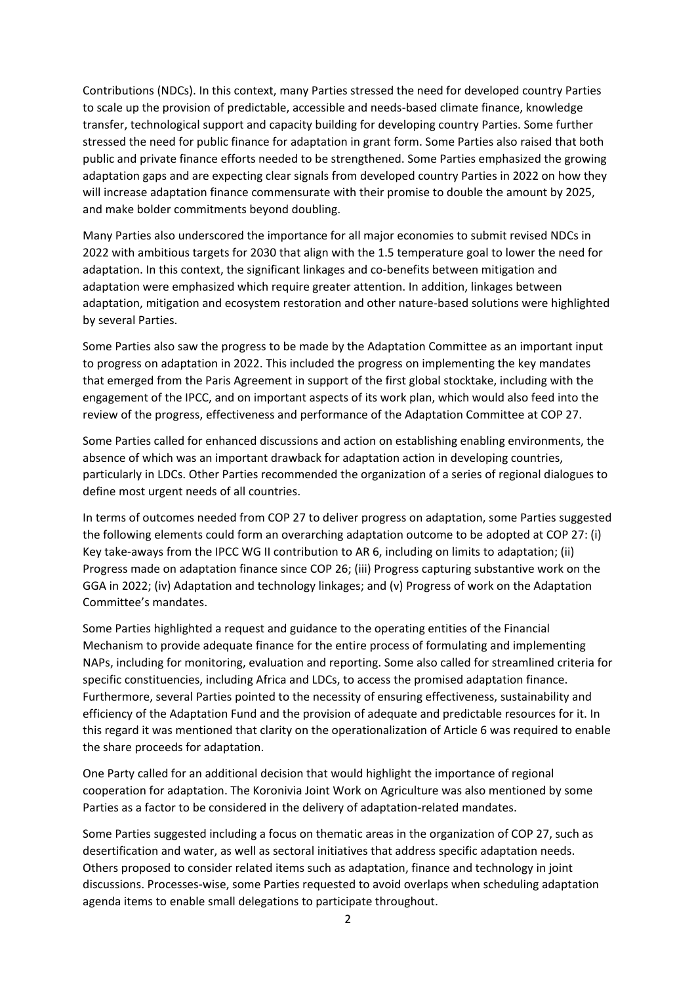Contributions (NDCs). In this context, many Parties stressed the need for developed country Parties to scale up the provision of predictable, accessible and needs-based climate finance, knowledge transfer, technological support and capacity building for developing country Parties. Some further stressed the need for public finance for adaptation in grant form. Some Parties also raised that both public and private finance efforts needed to be strengthened. Some Parties emphasized the growing adaptation gaps and are expecting clear signals from developed country Parties in 2022 on how they will increase adaptation finance commensurate with their promise to double the amount by 2025, and make bolder commitments beyond doubling.

Many Parties also underscored the importance for all major economies to submit revised NDCs in 2022 with ambitious targets for 2030 that align with the 1.5 temperature goal to lower the need for adaptation. In this context, the significant linkages and co-benefits between mitigation and adaptation were emphasized which require greater attention. In addition, linkages between adaptation, mitigation and ecosystem restoration and other nature-based solutions were highlighted by several Parties.

Some Parties also saw the progress to be made by the Adaptation Committee as an important input to progress on adaptation in 2022. This included the progress on implementing the key mandates that emerged from the Paris Agreement in support of the first global stocktake, including with the engagement of the IPCC, and on important aspects of its work plan, which would also feed into the review of the progress, effectiveness and performance of the Adaptation Committee at COP 27.

Some Parties called for enhanced discussions and action on establishing enabling environments, the absence of which was an important drawback for adaptation action in developing countries, particularly in LDCs. Other Parties recommended the organization of a series of regional dialogues to define most urgent needs of all countries.

In terms of outcomes needed from COP 27 to deliver progress on adaptation, some Parties suggested the following elements could form an overarching adaptation outcome to be adopted at COP 27: (i) Key take-aways from the IPCC WG II contribution to AR 6, including on limits to adaptation; (ii) Progress made on adaptation finance since COP 26; (iii) Progress capturing substantive work on the GGA in 2022; (iv) Adaptation and technology linkages; and (v) Progress of work on the Adaptation Committee's mandates.

Some Parties highlighted a request and guidance to the operating entities of the Financial Mechanism to provide adequate finance for the entire process of formulating and implementing NAPs, including for monitoring, evaluation and reporting. Some also called for streamlined criteria for specific constituencies, including Africa and LDCs, to access the promised adaptation finance. Furthermore, several Parties pointed to the necessity of ensuring effectiveness, sustainability and efficiency of the Adaptation Fund and the provision of adequate and predictable resources for it. In this regard it was mentioned that clarity on the operationalization of Article 6 was required to enable the share proceeds for adaptation.

One Party called for an additional decision that would highlight the importance of regional cooperation for adaptation. The Koronivia Joint Work on Agriculture was also mentioned by some Parties as a factor to be considered in the delivery of adaptation-related mandates.

Some Parties suggested including a focus on thematic areas in the organization of COP 27, such as desertification and water, as well as sectoral initiatives that address specific adaptation needs. Others proposed to consider related items such as adaptation, finance and technology in joint discussions. Processes-wise, some Parties requested to avoid overlaps when scheduling adaptation agenda items to enable small delegations to participate throughout.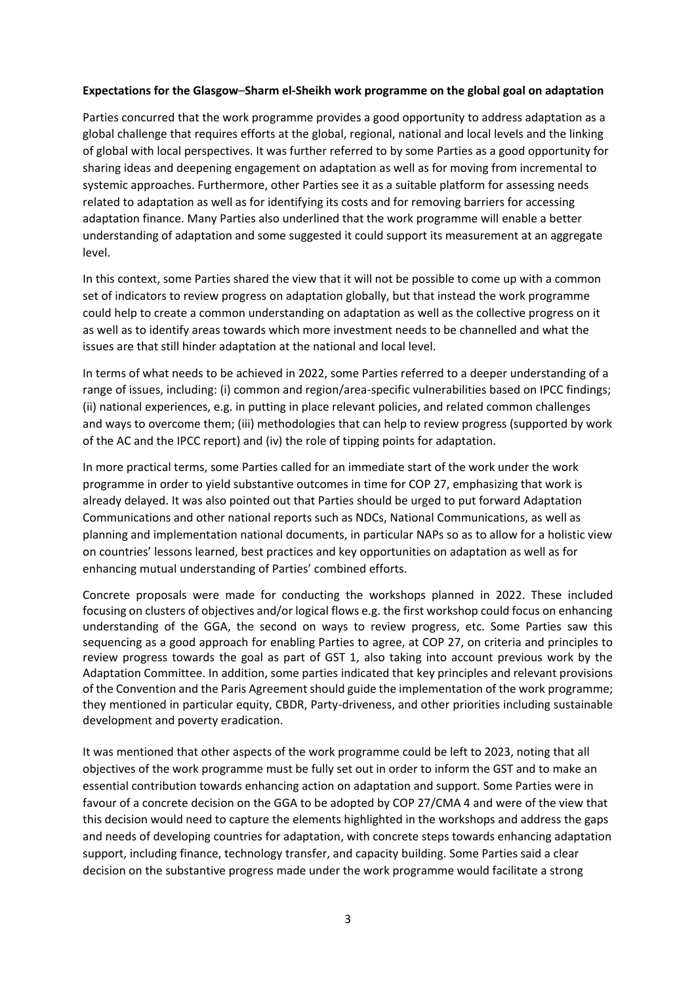#### **Expectations for the Glasgow**–**Sharm el-Sheikh work programme on the global goal on adaptation**

Parties concurred that the work programme provides a good opportunity to address adaptation as a global challenge that requires efforts at the global, regional, national and local levels and the linking of global with local perspectives. It was further referred to by some Parties as a good opportunity for sharing ideas and deepening engagement on adaptation as well as for moving from incremental to systemic approaches. Furthermore, other Parties see it as a suitable platform for assessing needs related to adaptation as well as for identifying its costs and for removing barriers for accessing adaptation finance. Many Parties also underlined that the work programme will enable a better understanding of adaptation and some suggested it could support its measurement at an aggregate level.

In this context, some Parties shared the view that it will not be possible to come up with a common set of indicators to review progress on adaptation globally, but that instead the work programme could help to create a common understanding on adaptation as well as the collective progress on it as well as to identify areas towards which more investment needs to be channelled and what the issues are that still hinder adaptation at the national and local level.

In terms of what needs to be achieved in 2022, some Parties referred to a deeper understanding of a range of issues, including: (i) common and region/area-specific vulnerabilities based on IPCC findings; (ii) national experiences, e.g. in putting in place relevant policies, and related common challenges and ways to overcome them; (iii) methodologies that can help to review progress (supported by work of the AC and the IPCC report) and (iv) the role of tipping points for adaptation.

In more practical terms, some Parties called for an immediate start of the work under the work programme in order to yield substantive outcomes in time for COP 27, emphasizing that work is already delayed. It was also pointed out that Parties should be urged to put forward Adaptation Communications and other national reports such as NDCs, National Communications, as well as planning and implementation national documents, in particular NAPs so as to allow for a holistic view on countries' lessons learned, best practices and key opportunities on adaptation as well as for enhancing mutual understanding of Parties' combined efforts.

Concrete proposals were made for conducting the workshops planned in 2022. These included focusing on clusters of objectives and/or logical flows e.g. the first workshop could focus on enhancing understanding of the GGA, the second on ways to review progress, etc. Some Parties saw this sequencing as a good approach for enabling Parties to agree, at COP 27, on criteria and principles to review progress towards the goal as part of GST 1, also taking into account previous work by the Adaptation Committee. In addition, some parties indicated that key principles and relevant provisions of the Convention and the Paris Agreement should guide the implementation of the work programme; they mentioned in particular equity, CBDR, Party-driveness, and other priorities including sustainable development and poverty eradication.

It was mentioned that other aspects of the work programme could be left to 2023, noting that all objectives of the work programme must be fully set out in order to inform the GST and to make an essential contribution towards enhancing action on adaptation and support. Some Parties were in favour of a concrete decision on the GGA to be adopted by COP 27/CMA 4 and were of the view that this decision would need to capture the elements highlighted in the workshops and address the gaps and needs of developing countries for adaptation, with concrete steps towards enhancing adaptation support, including finance, technology transfer, and capacity building. Some Parties said a clear decision on the substantive progress made under the work programme would facilitate a strong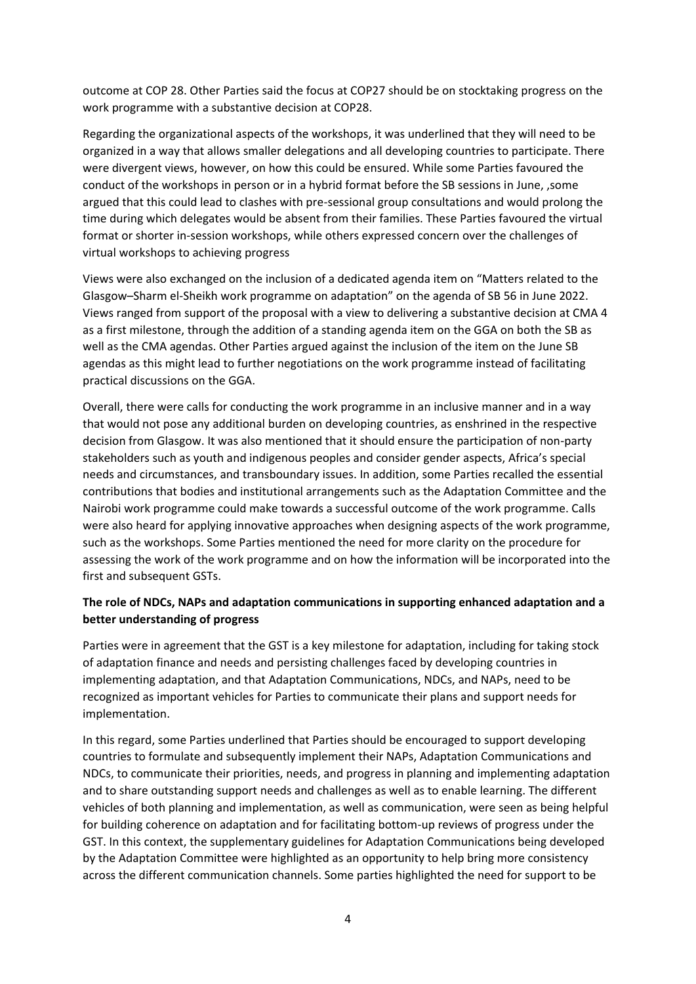outcome at COP 28. Other Parties said the focus at COP27 should be on stocktaking progress on the work programme with a substantive decision at COP28.

Regarding the organizational aspects of the workshops, it was underlined that they will need to be organized in a way that allows smaller delegations and all developing countries to participate. There were divergent views, however, on how this could be ensured. While some Parties favoured the conduct of the workshops in person or in a hybrid format before the SB sessions in June, ,some argued that this could lead to clashes with pre-sessional group consultations and would prolong the time during which delegates would be absent from their families. These Parties favoured the virtual format or shorter in-session workshops, while others expressed concern over the challenges of virtual workshops to achieving progress

Views were also exchanged on the inclusion of a dedicated agenda item on "Matters related to the Glasgow–Sharm el-Sheikh work programme on adaptation" on the agenda of SB 56 in June 2022. Views ranged from support of the proposal with a view to delivering a substantive decision at CMA 4 as a first milestone, through the addition of a standing agenda item on the GGA on both the SB as well as the CMA agendas. Other Parties argued against the inclusion of the item on the June SB agendas as this might lead to further negotiations on the work programme instead of facilitating practical discussions on the GGA.

Overall, there were calls for conducting the work programme in an inclusive manner and in a way that would not pose any additional burden on developing countries, as enshrined in the respective decision from Glasgow. It was also mentioned that it should ensure the participation of non-party stakeholders such as youth and indigenous peoples and consider gender aspects, Africa's special needs and circumstances, and transboundary issues. In addition, some Parties recalled the essential contributions that bodies and institutional arrangements such as the Adaptation Committee and the Nairobi work programme could make towards a successful outcome of the work programme. Calls were also heard for applying innovative approaches when designing aspects of the work programme, such as the workshops. Some Parties mentioned the need for more clarity on the procedure for assessing the work of the work programme and on how the information will be incorporated into the first and subsequent GSTs.

## **The role of NDCs, NAPs and adaptation communications in supporting enhanced adaptation and a better understanding of progress**

Parties were in agreement that the GST is a key milestone for adaptation, including for taking stock of adaptation finance and needs and persisting challenges faced by developing countries in implementing adaptation, and that Adaptation Communications, NDCs, and NAPs, need to be recognized as important vehicles for Parties to communicate their plans and support needs for implementation.

In this regard, some Parties underlined that Parties should be encouraged to support developing countries to formulate and subsequently implement their NAPs, Adaptation Communications and NDCs, to communicate their priorities, needs, and progress in planning and implementing adaptation and to share outstanding support needs and challenges as well as to enable learning. The different vehicles of both planning and implementation, as well as communication, were seen as being helpful for building coherence on adaptation and for facilitating bottom-up reviews of progress under the GST. In this context, the supplementary guidelines for Adaptation Communications being developed by the Adaptation Committee were highlighted as an opportunity to help bring more consistency across the different communication channels. Some parties highlighted the need for support to be